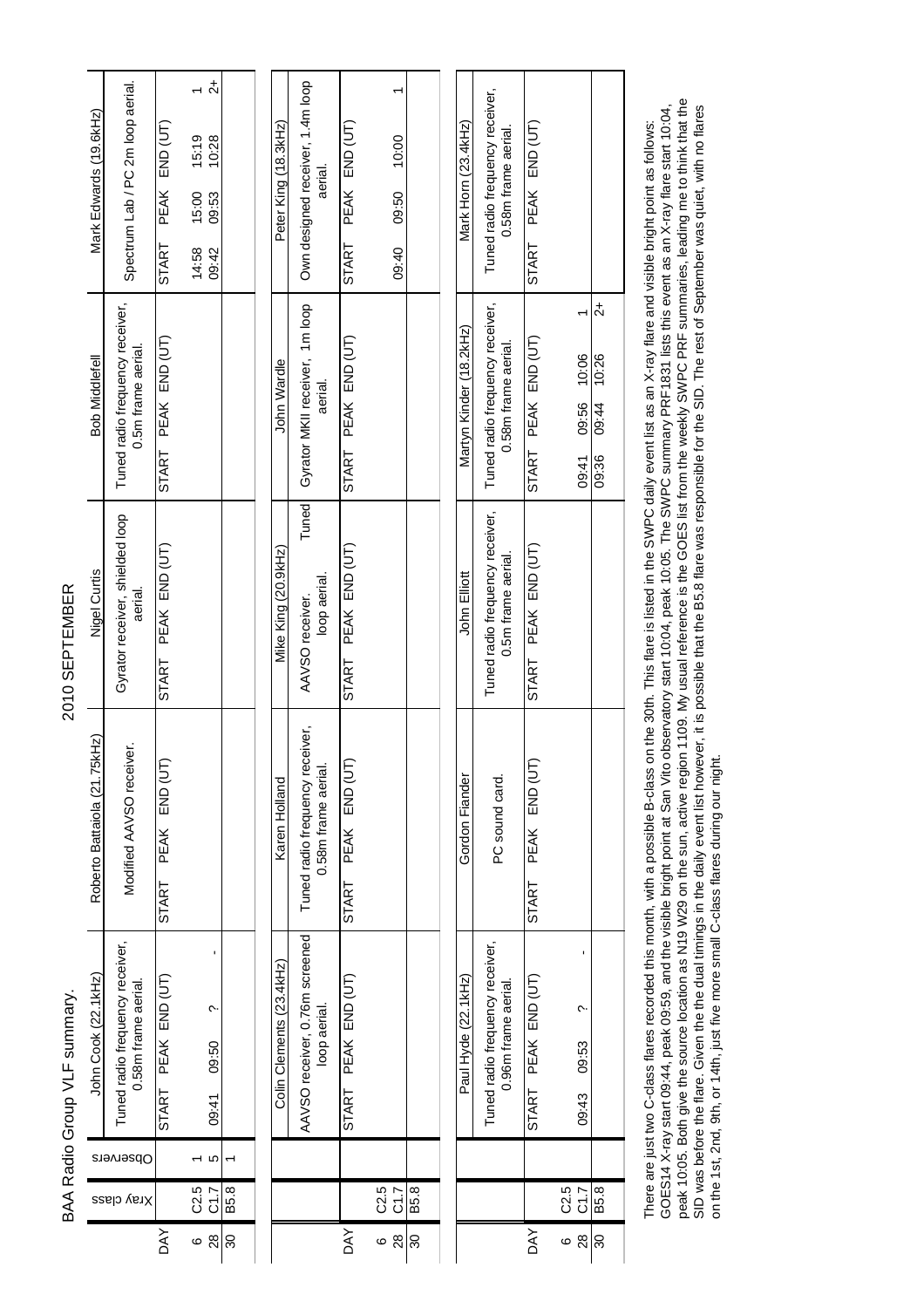| QQ4Q CEDTEMPED<br>$\frac{2}{1}$     |  |
|-------------------------------------|--|
|                                     |  |
|                                     |  |
|                                     |  |
| .<br>1<br>l                         |  |
| )<br>2<br>2<br>2<br>RAA Radio Group |  |
|                                     |  |

|                                                             |                                                        |                     |                  | $\vec{\mathcal{L}}$ |         |
|-------------------------------------------------------------|--------------------------------------------------------|---------------------|------------------|---------------------|---------|
| Spectrum Lab / PC 2m loop aerial.<br>Mark Edwards (19.6kHz) | START PEAK END (UT)                                    | 15:19               | 10:28            |                     |         |
|                                                             |                                                        |                     | 15:00            | 09:53               |         |
|                                                             |                                                        |                     | 14:58            | 09:42               |         |
| <b>Bob Middlefell</b>                                       | Tuned radio frequency receiver,<br>0.5m frame aerial.  | START PEAK END (UT) |                  |                     |         |
| Nigel Curtis                                                | Gyrator receiver, shielded loop<br>aerial.             | START PEAK END (UT) |                  |                     |         |
| Roberto Battaiola (21.75kHz)                                | Modified AAVSO receiver.                               | START PEAK END (UT  |                  |                     |         |
| John Cook (22.1kHz)                                         | Tuned radio frequency receiver,<br>0.58m frame aerial. | START PEAK END (UT) |                  | 09:50 14:60         |         |
| Opservers                                                   |                                                        |                     |                  | Ю                   |         |
|                                                             | Xray class                                             |                     | C <sub>2.5</sub> | 28 C1.7             | 30 B5.8 |
|                                                             |                                                        | <b>DAY</b>          | 6                |                     |         |

|            |                   | Colin Clements (23.4kHz) | Karen Holland                                                  | Mike King (20.9kHz) | John Wardle           | Peter King (18.3kHz)                                                      |
|------------|-------------------|--------------------------|----------------------------------------------------------------|---------------------|-----------------------|---------------------------------------------------------------------------|
|            |                   |                          | AAVSO receiver, 0.76m screened Tuned radio frequency receiver, | AAVSO receiver.     |                       | Tuned   Gyrator MKII receiver, 1m loop   Own designed receiver, 1.4m loop |
|            |                   | loop aerial.             | 0.58m frame aerial.                                            | loop aerial.        | aerial.               | aerial.                                                                   |
| <b>DAY</b> |                   | START PEAK END (UT)      | START PEAK END (UT                                             | START PEAK END (UT) | START PEAK END (UT)   | START PEAK END (UT)                                                       |
| $\circ$    | $\overline{C2.5}$ |                          |                                                                |                     |                       |                                                                           |
|            | 28 C1.7           |                          |                                                                |                     |                       | 09:50 09:50 09:90                                                         |
|            | 30 B5.8           |                          |                                                                |                     |                       |                                                                           |
|            |                   |                          |                                                                |                     |                       |                                                                           |
|            |                   | <b>マユユト いくてん どうしょう</b>   | Cordon Eighdar                                                 | the Ellicat         | Natura Kindori 2014 S | スタープ エクミ くどり イエーディ                                                        |

| Tuned radio frequency receiver,   Tuned radio frequency receiver,<br>$\vec{\mathcal{L}}$<br>Martyn Kinder (18.2kHz)<br>START PEAK END (UT)<br>0.58m frame aerial.<br>09:41 09:56 10:06<br>09:36 09:44 10:26<br>START PEAK END (UT)<br>0.5m frame aerial.<br>John Elliott<br>START PEAK END (UT<br>Gordon Fiander<br>PC sound card.<br>uned radio frequency receiver,<br>START PEAK END (UT)<br>Paul Hyde (22.1kHz)<br>0.96m frame aerial.<br>09:43 09:53<br>C2.5<br>28 C1.7<br>  B5.8<br>$\frac{1}{30}$<br><b>DAY</b><br>ဖ | Tuned radio frequency receiver,<br>Mark Horn (23.4kHz) | 0.58m frame aerial. | START PEAK END (UT) |  |  |
|----------------------------------------------------------------------------------------------------------------------------------------------------------------------------------------------------------------------------------------------------------------------------------------------------------------------------------------------------------------------------------------------------------------------------------------------------------------------------------------------------------------------------|--------------------------------------------------------|---------------------|---------------------|--|--|
|                                                                                                                                                                                                                                                                                                                                                                                                                                                                                                                            |                                                        |                     |                     |  |  |
|                                                                                                                                                                                                                                                                                                                                                                                                                                                                                                                            |                                                        |                     |                     |  |  |
|                                                                                                                                                                                                                                                                                                                                                                                                                                                                                                                            |                                                        |                     |                     |  |  |
|                                                                                                                                                                                                                                                                                                                                                                                                                                                                                                                            |                                                        |                     |                     |  |  |
|                                                                                                                                                                                                                                                                                                                                                                                                                                                                                                                            |                                                        |                     |                     |  |  |
|                                                                                                                                                                                                                                                                                                                                                                                                                                                                                                                            |                                                        |                     |                     |  |  |

oocorrect in the source of the source state and the substrate of the data faces in the bossible that the B5.8 flare was responsible for the SD. The rest of September was quiet, with no flares on the sure front floor and th peak 10:05. Both give the source location as N19 W29 on the sun, active region 1109. My usual reference is the GOES list from the weekly SWPC PRF summaries, leading me to think that the There are just two C-class flares recorded this month, with a possible B-class on the 30th. This flare is listed in the SWPC daily event list as an X-ray flare and visible bright point as follows:<br>GCES14 X-ray start 09:44, GOES14 X-ray start 09:44, peak 09:59, and the visible bright point at San Vito observatory start 10:04, peak 10:05. The SWPC summary PRF1831 lists this event as an X-ray flare start 10:04, SID was before the flare. Given the dual timings in the dual timings in the beret, it is possible that the B5.8 flare was possible for the SID. The rest of September was quiet, with no flares There are just two C-class flares recorded this month, with a possible B-class on the 30th. This flare is listed in the SWPC daily event list as an X-ray flare and visible bright point as follows: on the 1st, 2nd, 9th, or 14th, just five more small C-class flares during our night.